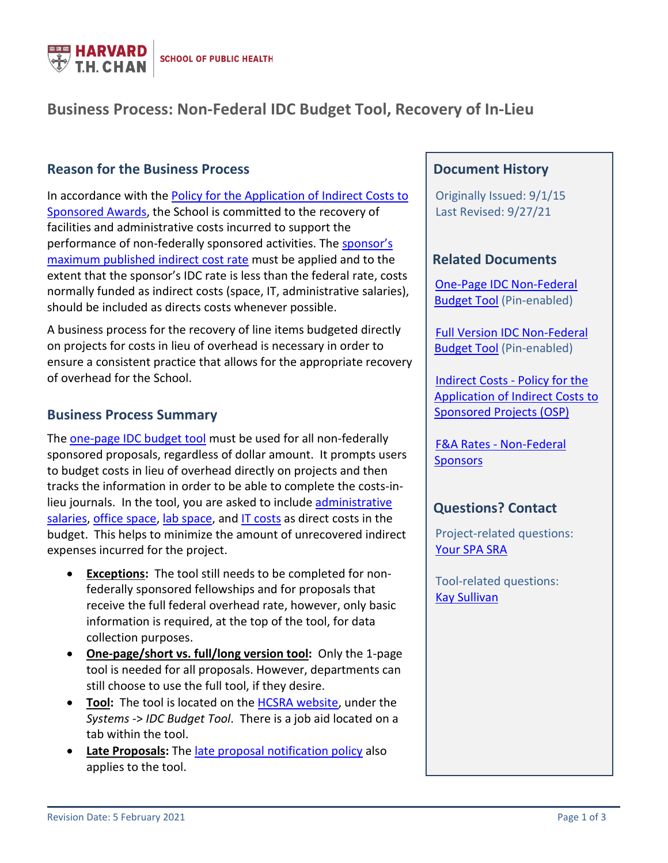

# **Business Process: Non-Federal IDC Budget Tool, Recovery of In-Lieu**

## **Reason for the Business Process**

In accordance with the [Policy for the Application of Indirect Costs to](https://osp.finance.harvard.edu/policy-application-indirect-costs-sponsored-awards)  [Sponsored Awards,](https://osp.finance.harvard.edu/policy-application-indirect-costs-sponsored-awards) the School is committed to the recovery of facilities and administrative costs incurred to support the performance of non-federally sponsored activities. Th[e sponsor's](https://osp.finance.harvard.edu/fa-rates-non-federal-sponsors)  [maximum published indirect cost rate](https://osp.finance.harvard.edu/fa-rates-non-federal-sponsors) must be applied and to the extent that the sponsor's IDC rate is less than the federal rate, costs normally funded as indirect costs (space, IT, administrative salaries), should be included as directs costs whenever possible.

A business process for the recovery of line items budgeted directly on projects for costs in lieu of overhead is necessary in order to ensure a consistent practice that allows for the appropriate recovery of overhead for the School.

#### **Business Process Summary**

The [one-page IDC budget tool](https://projects.iq.harvard.edu/os_fast/files/hcsra/idc_non-federal_budget_tool_-_one-page.xlsm.zip) must be used for all non-federally sponsored proposals, regardless of dollar amount. It prompts users to budget costs in lieu of overhead directly on projects and then tracks the information in order to be able to complete the costs-inlieu journals. In the tool, you are asked to include [administrative](#page-1-0)  [salaries,](#page-1-0) office [space,](#page-1-1) lab [space,](#page-2-0) and [IT costs](#page-2-1) as direct costs in the budget. This helps to minimize the amount of unrecovered indirect expenses incurred for the project.

- **Exceptions:** The tool still needs to be completed for nonfederally sponsored fellowships and for proposals that receive the full federal overhead rate, however, only basic information is required, at the top of the tool, for data collection purposes.
- **One-page/short vs. full/long version tool:** Only the 1-page tool is needed for all proposals. However, departments can still choose to use the full tool, if they desire.
- **Tool:** The tool is located on the [HCSRA website,](https://projects.iq.harvard.edu/os_fast/files/hcsra/idc_non-federal_budget_tool_-_one-page.xlsm.zip) under the *Systems* -> *IDC Budget Tool*. There is a job aid located on a tab within the tool.
- **Late Proposals:** The [late proposal notification policy](https://hcsra.sph.harvard.edu/files/hcsra/files/all_-_late_proposal_notification_policy_-_7.31.2020.pdf) also applies to the tool.

### **Document History**

 Originally Issued: 9/1/15 Last Revised: 9/27/21

#### **Related Documents**

 [One-Page IDC Non-Federal](https://projects.iq.harvard.edu/os_fast/files/hcsra/idc_non-federal_budget_tool_-_one-page.xlsm.zip)  [Budget Tool](https://projects.iq.harvard.edu/os_fast/files/hcsra/idc_non-federal_budget_tool_-_one-page.xlsm.zip) (Pin-enabled)

 [Full Version IDC Non-Federal](https://ofs-adm.sph.harvard.edu/files/hsph-ofs/files/idc_non-federal_budget_tool_-_full_version_.xlsm_.zip)  [Budget Tool](https://ofs-adm.sph.harvard.edu/files/hsph-ofs/files/idc_non-federal_budget_tool_-_full_version_.xlsm_.zip) (Pin-enabled)

 [Indirect Costs - Policy for the](https://osp.finance.harvard.edu/policy-application-indirect-costs-sponsored-awards)  [Application of Indirect Costs to](https://osp.finance.harvard.edu/policy-application-indirect-costs-sponsored-awards)  [Sponsored Projects \(OSP\)](https://osp.finance.harvard.edu/policy-application-indirect-costs-sponsored-awards)

 [F&A Rates - Non-Federal](https://osp.finance.harvard.edu/fa-rates-non-federal-sponsors)  **[Sponsors](https://osp.finance.harvard.edu/fa-rates-non-federal-sponsors)** 

#### **Questions? Contact**

 Project-related questions: [Your SPA SRA](https://hcsra.sph.harvard.edu/people/department-names/sponsored-research-administration-operations)

Tool-related questions: [Kay Sullivan](mailto:ksulliva@hsph.harvard.edu)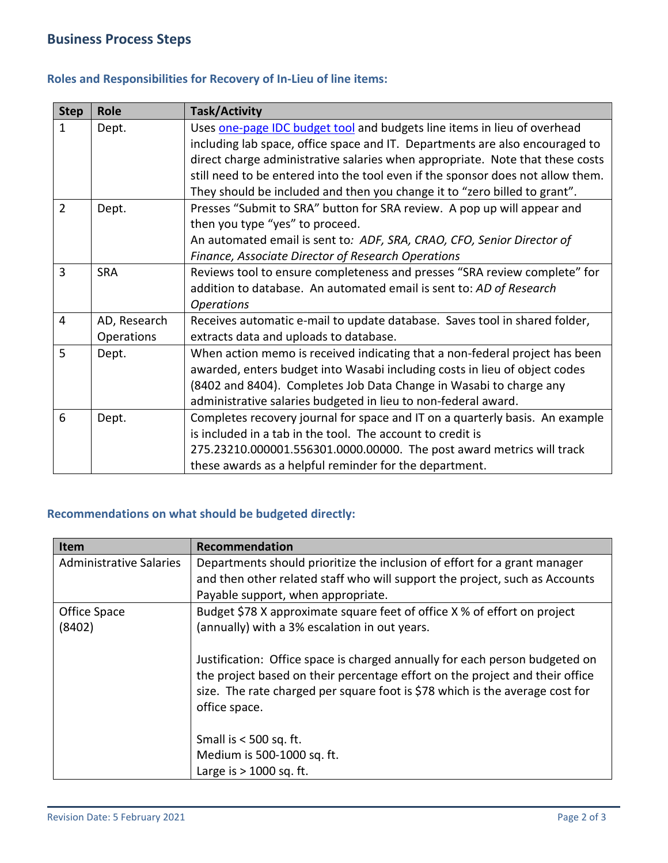#### **Roles and Responsibilities for Recovery of In-Lieu of line items:**

| <b>Step</b>    | <b>Role</b>                | <b>Task/Activity</b>                                                                                                                                                                                                                                                                                                                                                                                      |
|----------------|----------------------------|-----------------------------------------------------------------------------------------------------------------------------------------------------------------------------------------------------------------------------------------------------------------------------------------------------------------------------------------------------------------------------------------------------------|
| $\mathbf{1}$   | Dept.                      | Uses one-page IDC budget tool and budgets line items in lieu of overhead<br>including lab space, office space and IT. Departments are also encouraged to<br>direct charge administrative salaries when appropriate. Note that these costs<br>still need to be entered into the tool even if the sponsor does not allow them.<br>They should be included and then you change it to "zero billed to grant". |
| $\overline{2}$ | Dept.                      | Presses "Submit to SRA" button for SRA review. A pop up will appear and<br>then you type "yes" to proceed.<br>An automated email is sent to: ADF, SRA, CRAO, CFO, Senior Director of<br>Finance, Associate Director of Research Operations                                                                                                                                                                |
| 3              | <b>SRA</b>                 | Reviews tool to ensure completeness and presses "SRA review complete" for<br>addition to database. An automated email is sent to: AD of Research<br><b>Operations</b>                                                                                                                                                                                                                                     |
| $\overline{4}$ | AD, Research<br>Operations | Receives automatic e-mail to update database. Saves tool in shared folder,<br>extracts data and uploads to database.                                                                                                                                                                                                                                                                                      |
| 5              | Dept.                      | When action memo is received indicating that a non-federal project has been<br>awarded, enters budget into Wasabi including costs in lieu of object codes<br>(8402 and 8404). Completes Job Data Change in Wasabi to charge any<br>administrative salaries budgeted in lieu to non-federal award.                                                                                                         |
| 6              | Dept.                      | Completes recovery journal for space and IT on a quarterly basis. An example<br>is included in a tab in the tool. The account to credit is<br>275.23210.000001.556301.0000.00000. The post award metrics will track<br>these awards as a helpful reminder for the department.                                                                                                                             |

## **Recommendations on what should be budgeted directly:**

<span id="page-1-1"></span><span id="page-1-0"></span>

| Item                    | Recommendation                                                                                                                                                                                                                                               |
|-------------------------|--------------------------------------------------------------------------------------------------------------------------------------------------------------------------------------------------------------------------------------------------------------|
| Administrative Salaries | Departments should prioritize the inclusion of effort for a grant manager                                                                                                                                                                                    |
|                         | and then other related staff who will support the project, such as Accounts                                                                                                                                                                                  |
|                         | Payable support, when appropriate.                                                                                                                                                                                                                           |
| Office Space            | Budget \$78 X approximate square feet of office X % of effort on project                                                                                                                                                                                     |
| (8402)                  | (annually) with a 3% escalation in out years.                                                                                                                                                                                                                |
|                         | Justification: Office space is charged annually for each person budgeted on<br>the project based on their percentage effort on the project and their office<br>size. The rate charged per square foot is \$78 which is the average cost for<br>office space. |
|                         | Small is < 500 sq. ft.                                                                                                                                                                                                                                       |
|                         | Medium is 500-1000 sq. ft.                                                                                                                                                                                                                                   |
|                         | Large is $>$ 1000 sq. ft.                                                                                                                                                                                                                                    |